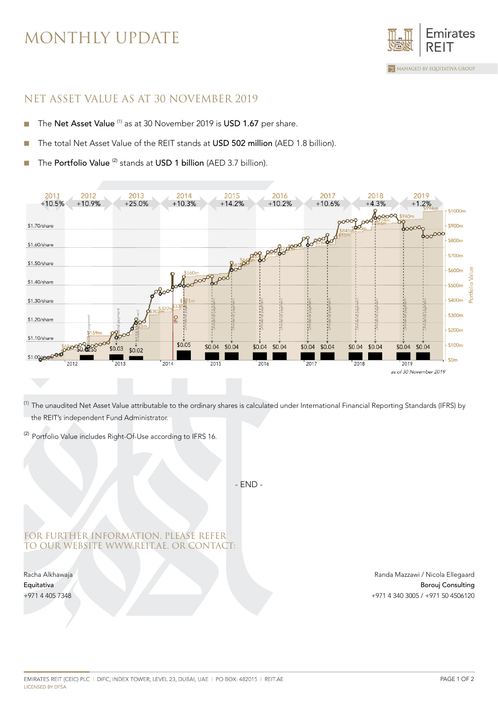## MONTHLY UPDATE



### NET ASSET VALUE AS AT 30 NOVEMBER 2019

- The Net Asset Value<sup>(1)</sup> as at 30 November 2019 is USD 1.67 per share. ×
- The total Net Asset Value of the REIT stands at USD 502 million (AED 1.8 billion).
- The Portfolio Value<sup>(2)</sup> stands at USD 1 billion (AED 3.7 billion).



<sup>(1)</sup> The unaudited Net Asset Value attributable to the ordinary shares is calculated under International Financial Reporting Standards (IFRS) by the REIT's independent Fund Administrator.

<sup>(2)</sup> Portfolio Value includes Right-Of-Use according to IFRS 16.

- END -

#### FOR FURTHER INFORMATION, PLEASE REFER TO OUR WEBSITE WWW.REIT.AE, OR CONTACT:

Racha Alkhawaja Equitativa +971 4 405 7348

Randa Mazzawi / Nicola Ellegaard Borouj Consulting +971 4 340 3005 / +971 50 4506120